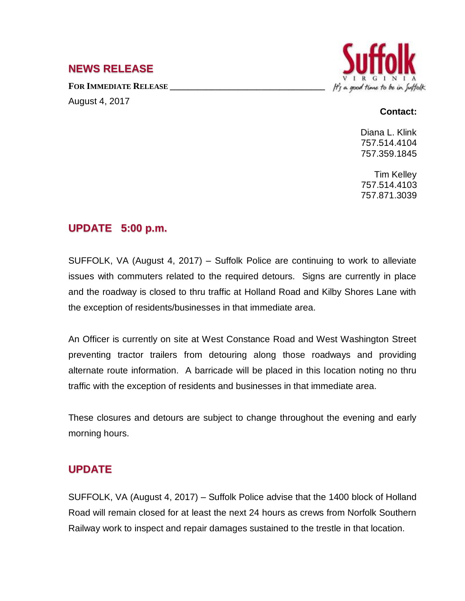# **NEWS RELEASE**

**FOR IMMEDIATE RELEASE \_\_\_\_\_\_\_\_\_\_\_\_\_\_\_\_\_\_\_\_\_\_\_\_\_\_\_\_\_\_\_\_\_\_**

August 4, 2017



#### **Contact:**

Diana L. Klink 757.514.4104 757.359.1845

Tim Kelley 757.514.4103 757.871.3039

# **UPDATE 5:00 p.m.**

SUFFOLK, VA (August 4, 2017) – Suffolk Police are continuing to work to alleviate issues with commuters related to the required detours. Signs are currently in place and the roadway is closed to thru traffic at Holland Road and Kilby Shores Lane with the exception of residents/businesses in that immediate area.

An Officer is currently on site at West Constance Road and West Washington Street preventing tractor trailers from detouring along those roadways and providing alternate route information. A barricade will be placed in this location noting no thru traffic with the exception of residents and businesses in that immediate area.

These closures and detours are subject to change throughout the evening and early morning hours.

### **UPDATE**

SUFFOLK, VA (August 4, 2017) – Suffolk Police advise that the 1400 block of Holland Road will remain closed for at least the next 24 hours as crews from Norfolk Southern Railway work to inspect and repair damages sustained to the trestle in that location.